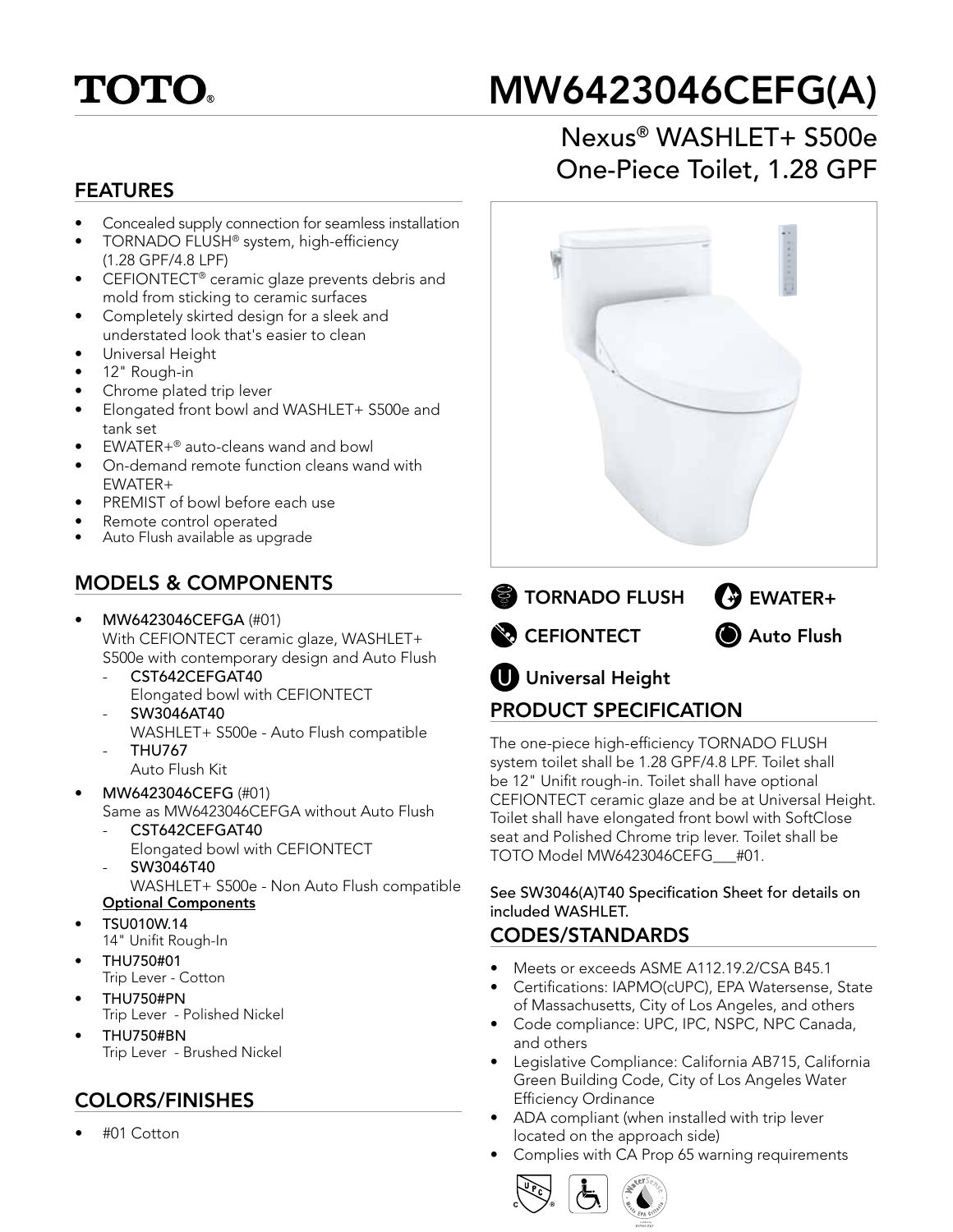

# MW6423046CEFG(A)

#### FEATURES

- Concealed supply connection for seamless installation
- TORNADO FLUSH® system, high-efficiency (1.28 GPF/4.8 LPF)
- CEFIONTECT® ceramic glaze prevents debris and mold from sticking to ceramic surfaces
- Completely skirted design for a sleek and understated look that's easier to clean
- Universal Height
- 12" Rough-in
- Chrome plated trip lever
- Elongated front bowl and WASHLET+ S500e and tank set
- EWATER+® auto-cleans wand and bowl
- On-demand remote function cleans wand with EWATER+
- PREMIST of bowl before each use
- Remote control operated
- Auto Flush available as upgrade

## MODELS & COMPONENTS

- MW6423046CEFGA (#01) With CEFIONTECT ceramic glaze, WASHLET+ S500e with contemporary design and Auto Flush
	- CST642CEFGAT40 Elongated bowl with CEFIONTECT
	- SW3046AT40 WASHLET+ S500e - Auto Flush compatible
	- THU767 Auto Flush Kit
	-
- MW6423046CEFG (#01) Same as MW6423046CEFGA without Auto Flush
	- CST642CEFGAT40 Elongated bowl with CEFIONTECT
	- SW3046T40
	- WASHLET+ S500e Non Auto Flush compatible Optional Components
- TSU010W.14 14" Unifit Rough-In
- THU750#01
- Trip Lever Cotton
- THU750#PN Trip Lever - Polished Nickel
- THU750#BN Trip Lever - Brushed Nickel

# COLORS/FINISHES

• #01 Cotton

# Nexus® WASHLET+ S500e One-Piece Toilet, 1.28 GPF



# PRODUCT SPECIFICATION

The one-piece high-efficiency TORNADO FLUSH system toilet shall be 1.28 GPF/4.8 LPF. Toilet shall be 12" Unifit rough-in. Toilet shall have optional CEFIONTECT ceramic glaze and be at Universal Height. Toilet shall have elongated front bowl with SoftClose seat and Polished Chrome trip lever. Toilet shall be TOTO Model MW6423046CEFG\_\_\_#01.

See SW3046(A)T40 Specification Sheet for details on included WASHLET.

#### CODES/STANDARDS

- Meets or exceeds ASME A112.19.2/CSA B45.1
- Certifications: IAPMO(cUPC), EPA Watersense, State of Massachusetts, City of Los Angeles, and others
- Code compliance: UPC, IPC, NSPC, NPC Canada, and others
- Legislative Compliance: California AB715, California Green Building Code, City of Los Angeles Water Efficiency Ordinance
- ADA compliant (when installed with trip lever located on the approach side)
- Complies with CA Prop 65 warning requirements